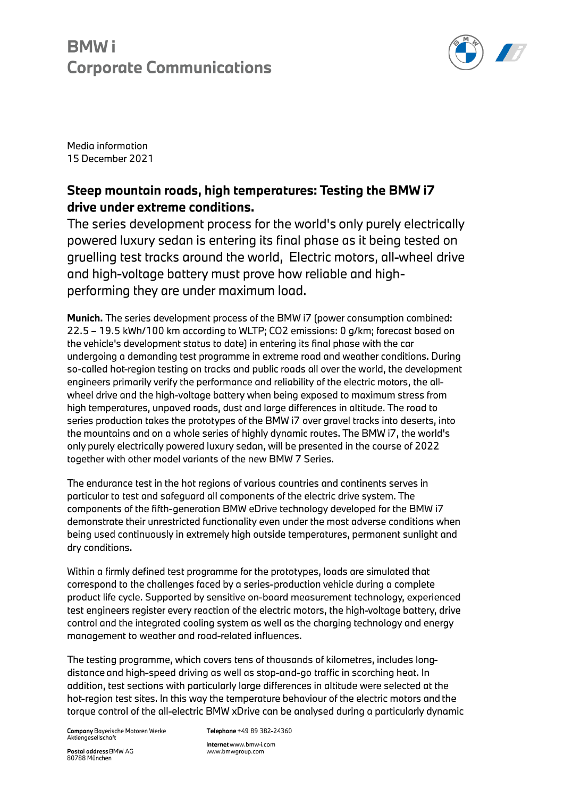# **BMWi Corporate Communications**



Media information 15 December 2021

### Steep mountain roads, high temperatures: Testing the BMW i7 drive under extreme conditions.

The series development process for the world's only purely electrically powered luxury sedan is entering its final phase as it being tested on gruelling test tracks around the world, Electric motors, all-wheel drive and high-voltage battery must prove how reliable and highperforming they are under maximum load.

Munich. The series development process of the BMW i7 (power consumption combined: 22.5 - 19.5 kWh/100 km according to WLTP; CO2 emissions: 0 g/km; forecast based on the vehicle's development status to date) in entering its final phase with the car undergoing a demanding test programme in extreme road and weather conditions. During so-called hot-region testing on tracks and public roads all over the world, the development engineers primarily verify the performance and reliability of the electric motors, the allwheel drive and the high-voltage battery when being exposed to maximum stress from high temperatures, unpaved roads, dust and large differences in altitude. The road to series production takes the prototypes of the BMW i7 over gravel tracks into deserts, into the mountains and on a whole series of highly dynamic routes. The BMW i7, the world's only purely electrically powered luxury sedan, will be presented in the course of 2022 together with other model variants of the new BMW 7 Series.

The endurance test in the hot regions of various countries and continents serves in particular to test and safeguard all components of the electric drive system. The components of the fifth-generation BMW eDrive technology developed for the BMW i7 demonstrate their unrestricted functionality even under the most adverse conditions when being used continuously in extremely high outside temperatures, permanent sunlight and dry conditions.

Within a firmly defined test programme for the prototypes, loads are simulated that correspond to the challenges faced by a series-production vehicle during a complete product life cycle. Supported by sensitive on-board measurement technology, experienced test engineers register every reaction of the electric motors, the high-voltage battery, drive control and the integrated cooling system as well as the charging technology and energy management to weather and road-related influences.

The testing programme, which covers tens of thousands of kilometres, includes longdistance and high-speed driving as well as stop-and-go traffic in scorching heat. In addition, test sections with particularly large differences in altitude were selected at the hot-region test sites. In this way the temperature behaviour of the electric motors and the torque control of the all-electric BMW xDrive can be analysed during a particularly dynamic

**Company Bayerische Motoren Werke** Aktiengesellschaft

Telephone +49 89 382-24360

Postal address BMW AG 80788 München

Internet www.bmw-i.com www.bmwgroup.com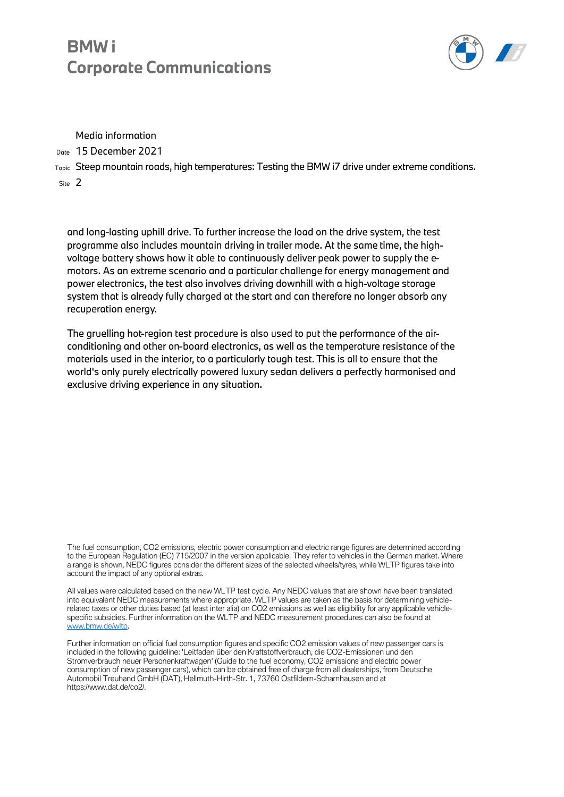### **BMW Corporate Communications**



Media information

Date 15 December 2021

Topic Steep mountain roads, high temperatures: Testing the BMW i7 drive under extreme conditions. Site 2

and long-lasting uphill drive. To further increase the load on the drive system, the test programme also includes mountain driving in trailer mode. At the same time, the highvoltage battery shows how it able to continuously deliver peak power to supply the emotors. As an extreme scenario and a particular challenge for energy management and power electronics, the test also involves driving downhill with a high-voltage storage system that is already fully charged at the start and can therefore no longer absorb any recuperation energy.

The gruelling hot-region test procedure is also used to put the performance of the airconditioning and other on-board electronics, as well as the temperature resistance of the materials used in the interior, to a particularly tough test. This is all to ensure that the world's only purely electrically powered luxury sedan delivers a perfectly harmonised and exclusive driving experience in any situation.

The fuel consumption, CO2 emissions, electric power consumption and electric range figures are determined according to the European Regulation (EC) 715/2007 in the version applicable. They refer to vehicles in the German market. Where a range is shown, NEDC figures consider the different sizes of the selected wheels/tyres, while WLTP figures take into account the impact of any optional extras.

All values were calculated based on the new WLTP test cycle. Any NEDC values that are shown have been translated into equivalent NEDC measurements where appropriate. WLTP values are taken as the basis for determining vehiclerelated taxes or other duties based (at least inter alia) on CO2 emissions as well as eligibility for any applicable vehiclespecific subsidies. Further information on the WLTP and NEDC measurement procedures can also be found at [www.bmw.de/wltp.](http://www.bmw.de/wltp) 

Further information on official fuel consumption figures and specific CO2 emission values of new passenger cars is included in the following guideline: 'Leitfaden über den Kraftstoffverbrauch, die CO2-Emissionen und den Stromverbrauch neuer Personenkraftwagen' (Guide to the fuel economy, CO2 emissions and electric power consumption of new passenger cars), which can be obtained free of charge from all dealerships, from Deutsche Automobil Treuhand GmbH (DAT), Hellmuth-Hirth-Str. 1, 73760 Ostfildern-Scharnhausen and at https://www.dat.de/co2/.